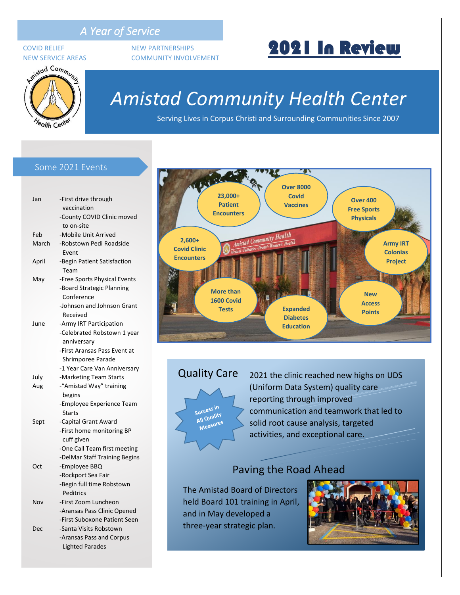### *A Year of Service*



COVID RELIEF NEW PARTNERSHIPS NEW SERVICE AREAS COMMUNITY INVOLVEMENT

# 2021 In Review

## *Amistad Community Health Center*

Serving Lives in Corpus Christi and Surrounding Communities Since 2007

#### Some 2021 Events

| Jan   | -First drive through          |
|-------|-------------------------------|
|       | vaccination                   |
|       | -County COVID Clinic moved    |
|       | to on-site                    |
| Feb   | -Mobile Unit Arrived          |
| March | -Robstown Pedi Roadside       |
|       | Event                         |
| April | -Begin Patient Satisfaction   |
|       | Team                          |
| May   | -Free Sports Physical Events  |
|       | -Board Strategic Planning     |
|       | Conference                    |
|       | -Johnson and Johnson Grant    |
|       | Received                      |
| June  | -Army IRT Participation       |
|       | -Celebrated Robstown 1 year   |
|       | anniversary                   |
|       | -First Aransas Pass Event at  |
|       | Shrimporee Parade             |
|       | -1 Year Care Van Anniversary  |
| July  | -Marketing Team Starts        |
| Aug   | -"Amistad Way" training       |
|       | begins                        |
|       | -Employee Experience Team     |
|       | <b>Starts</b>                 |
| Sept  | -Capital Grant Award          |
|       | -First home monitoring BP     |
|       | cuff given                    |
|       | -One Call Team first meeting  |
|       | -DelMar Staff Training Begins |
| Oct   | -Employee BBQ                 |
|       | -Rockport Sea Fair            |
|       | -Begin full time Robstown     |
|       | <b>Peditrics</b>              |
| Nov   | -First Zoom Luncheon          |
|       | -Aransas Pass Clinic Opened   |
|       | -First Suboxone Patient Seen  |
| Dec   | -Santa Visits Robstown        |
|       | -Aransas Pass and Corpus      |
|       | <b>Lighted Parades</b>        |



Quality Care

Success in Success<br>All Quality Measures

2021 the clinic reached new highs on UDS (Uniform Data System) quality care reporting through improved communication and teamwork that led to solid root cause analysis, targeted activities, and exceptional care.

### Paving the Road Ahead

The Amistad Board of Directors held Board 101 training in April, and in May developed a three-year strategic plan.

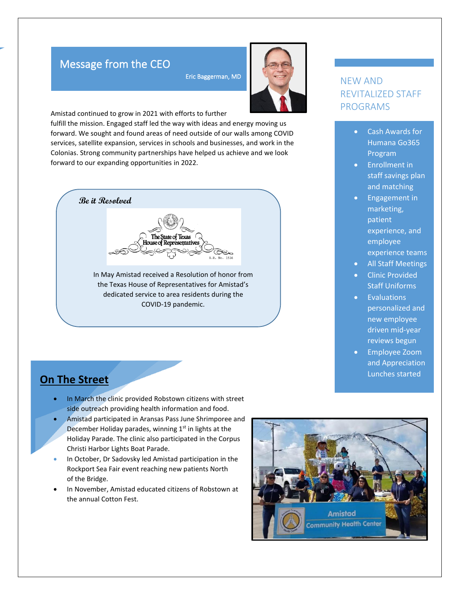### Message from the CEO

Eric Baggerman, MD



Amistad continued to grow in 2021 with efforts to further

fulfill the mission. Engaged staff led the way with ideas and energy moving us forward. We sought and found areas of need outside of our walls among COVID services, satellite expansion, services in schools and businesses, and work in the Colonias. Strong community partnerships have helped us achieve and we look forward to our expanding opportunities in 2022.



In May Amistad received a Resolution of honor from the Texas House of Representatives for Amistad's dedicated service to area residents during the COVID-19 pandemic.

### NEW AND REVITALIZED STAFF PROGRAMS

- Cash Awards for Humana Go365 Program
- Enrollment in staff savings plan and matching
- Engagement in marketing, patient experience, and employee experience teams
- All Staff Meetings
- Clinic Provided Staff Uniforms
- Evaluations personalized and new employee driven mid-year reviews begun
- Employee Zoom and Appreciation Lunches started

### **On The Street**

- In March the clinic provided Robstown citizens with street side outreach providing health information and food.
- Amistad participated in Aransas Pass June Shrimporee and December Holiday parades, winning 1<sup>st</sup> in lights at the Holiday Parade. The clinic also participated in the Corpus Christi Harbor Lights Boat Parade.
- In October, Dr Sadovsky led Amistad participation in the Rockport Sea Fair event reaching new patients North of the Bridge.
- In November, Amistad educated citizens of Robstown at the annual Cotton Fest.

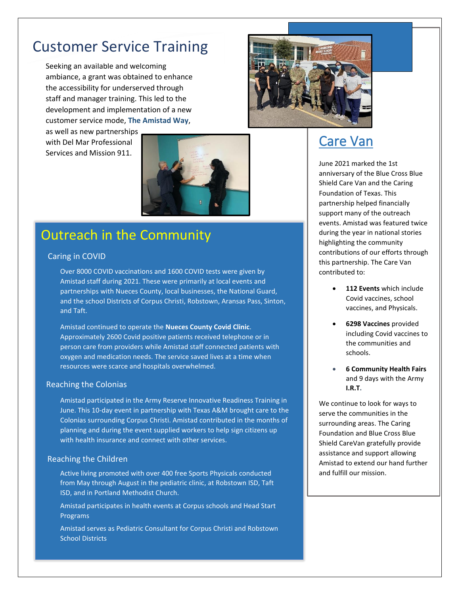## Customer Service Training

Seeking an available and welcoming ambiance, a grant was obtained to enhance the accessibility for underserved through staff and manager training. This led to the development and implementation of a new customer service mode, **The Amistad Way**,

as well as new partnerships with Del Mar Professional Services and Mission 911.



## Outreach in the Community

### Caring in COVID

Over 8000 COVID vaccinations and 1600 COVID tests were given by Amistad staff during 2021. These were primarily at local events and partnerships with Nueces County, local businesses, the National Guard, and the school Districts of Corpus Christi, Robstown, Aransas Pass, Sinton, and Taft.

Amistad continued to operate the **Nueces County Covid Clinic**. Approximately 2600 Covid positive patients received telephone or in person care from providers while Amistad staff connected patients with oxygen and medication needs. The service saved lives at a time when resources were scarce and hospitals overwhelmed.

#### Reaching the Colonias

Amistad participated in the Army Reserve Innovative Readiness Training in June. This 10-day event in partnership with Texas A&M brought care to the Colonias surrounding Corpus Christi. Amistad contributed in the months of planning and during the event supplied workers to help sign citizens up with health insurance and connect with other services.

#### Reaching the Children

Active living promoted with over 400 free Sports Physicals conducted from May through August in the pediatric clinic, at Robstown ISD, Taft ISD, and in Portland Methodist Church.

Amistad participates in health events at Corpus schools and Head Start Programs

Amistad serves as Pediatric Consultant for Corpus Christi and Robstown School Districts



### Care Van

June 2021 marked the 1st anniversary of the Blue Cross Blue Shield Care Van and the Caring Foundation of Texas. This partnership helped financially support many of the outreach events. Amistad was featured twice during the year in national stories highlighting the community contributions of our efforts through this partnership. The Care Van contributed to:

- **112 Events** which include Covid vaccines, school vaccines, and Physicals.
- **6298 Vaccines** provided including Covid vaccines to the communities and schools.
- **6 Community Health Fairs** and 9 days with the Army **I.R.T.**

We continue to look for ways to serve the communities in the surrounding areas. The Caring Foundation and Blue Cross Blue Shield CareVan gratefully provide assistance and support allowing Amistad to extend our hand further and fulfill our mission.